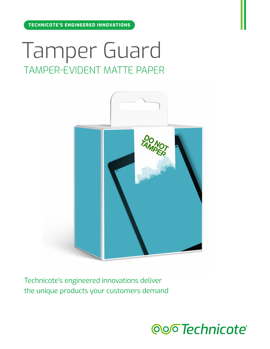# Tamper Guard TAMPER-EVIDENT MATTE PAPER



Technicote's engineered innovations deliver the unique products your customers demand